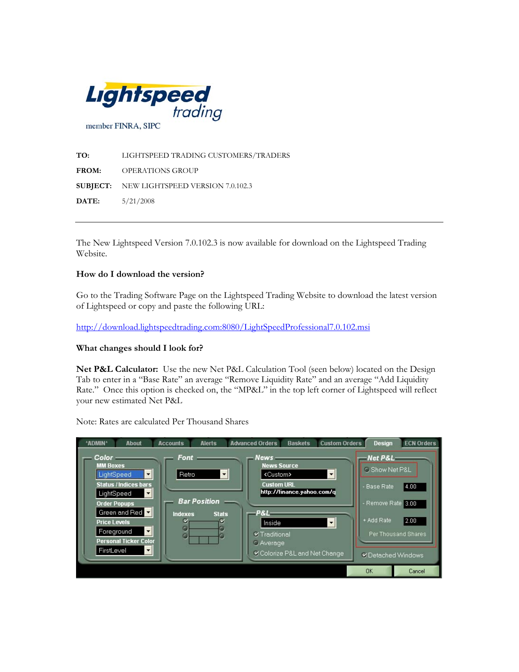

**TO:** LIGHTSPEED TRADING CUSTOMERS/TRADERS **FROM:** OPERATIONS GROUP **SUBJECT:** NEW LIGHTSPEED VERSION 7.0.102.3 **DATE:** 5/21/2008

The New Lightspeed Version 7.0.102.3 is now available for download on the Lightspeed Trading Website.

## **How do I download the version?**

Go to the Trading Software Page on the Lightspeed Trading Website to download the latest version of Lightspeed or copy and paste the following URL:

http://download.lightspeedtrading.com:8080/LightSpeedProfessional7.0.102.msi

## **What changes should I look for?**

**Net P&L Calculator:** Use the new Net P&L Calculation Tool (seen below) located on the Design Tab to enter in a "Base Rate" an average "Remove Liquidity Rate" and an average "Add Liquidity Rate." Once this option is checked on, the "MP&L" in the top left corner of Lightspeed will reflect your new estimated Net P&L

Note: Rates are calculated Per Thousand Shares

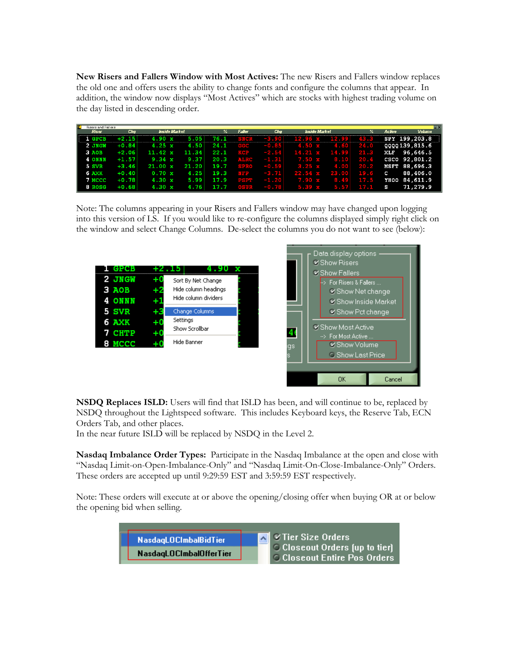**New Risers and Fallers Window with Most Actives:** The new Risers and Fallers window replaces the old one and offers users the ability to change fonts and configure the columns that appear. In addition, the window now displays "Most Actives" which are stocks with highest trading volume on the day listed in descending order.

| $\overline{\mathbf{X}}$<br>п<br><b>Risers and Fallers</b> |                          |                       |               |               |             |                           |             |        |                |
|-----------------------------------------------------------|--------------------------|-----------------------|---------------|---------------|-------------|---------------------------|-------------|--------|----------------|
|                                                           | Cha<br><b>Riser</b>      | <b>Inside Market</b>  | $\frac{9}{2}$ | <b>Faller</b> | Cha         | <b>Inside Market</b>      | ℅           | Active | <b>Volume</b>  |
|                                                           | $+2.15$<br><b>GPCB</b>   | 4.90 x<br>5.05        | 76.1          | alick         | $-3.90$     | $12.96 \times$<br>12.99   | 43.3        |        | SPY 199,203.8  |
|                                                           | $+0.84$<br><b>2 JNGW</b> | $4.25 \times$<br>4.50 | 24.1          | elele         | $-0.85$     | $4.50 \times$<br>4.60     | 24.0        |        | 0000139, 815.6 |
| 3 AOB                                                     | $+2.06$                  | 11.42 x<br>11.34      | 22.1          |               | KCP $-2.54$ | $14.21 \times 14.99$ 21.3 |             |        | XLF 96,646.5   |
|                                                           | $+1.57$<br><b>4 ONNN</b> | 9.34 x<br>9.371       | 20.3          |               | ALRC -1.31  | $7.50 \times$             | $8.10$ 20.4 |        | CSCO 92,801.2  |
| 5 SVR                                                     | $+3.46$                  | 21.00 x<br>21.20      | 19.7          | SPRO          | $-0.59$     | 3.25 x<br>4.00            | 20.2        |        | MSFT 88.696.3  |
| 6 AXK                                                     | $+0.40$                  | 0.70 x<br>4.25        | 19.3          | Male          | $-3.71$     | $22.54 \times 23.00$ 19.6 |             | C      | 88,406.0       |
|                                                           | 7 MCCC<br>$+0.78$        | 4.30 x<br>5.99        | 17.9          | PSPT          | $-1.20$     | 7.90x<br>8.49             | 17.5        |        | YHOO 84,611.9  |
|                                                           | $+0.68$<br>8 ROSG        | 4.30 x<br>4.76        | 17.7          | $\bullet$ SUR | $-0.78$     | 5.39 x<br>5.57            | 17.1 S      |        | 71.279.9       |

Note: The columns appearing in your Risers and Fallers window may have changed upon logging into this version of LS. If you would like to re-configure the columns displayed simply right click on the window and select Change Columns. De-select the columns you do not want to see (below):



**NSDQ Replaces ISLD:** Users will find that ISLD has been, and will continue to be, replaced by NSDQ throughout the Lightspeed software. This includes Keyboard keys, the Reserve Tab, ECN Orders Tab, and other places.

In the near future ISLD will be replaced by NSDQ in the Level 2.

**Nasdaq Imbalance Order Types:** Participate in the Nasdaq Imbalance at the open and close with "Nasdaq Limit-on-Open-Imbalance-Only" and "Nasdaq Limit-On-Close-Imbalance-Only" Orders. These orders are accepted up until 9:29:59 EST and 3:59:59 EST respectively.

Note: These orders will execute at or above the opening/closing offer when buying OR at or below the opening bid when selling.